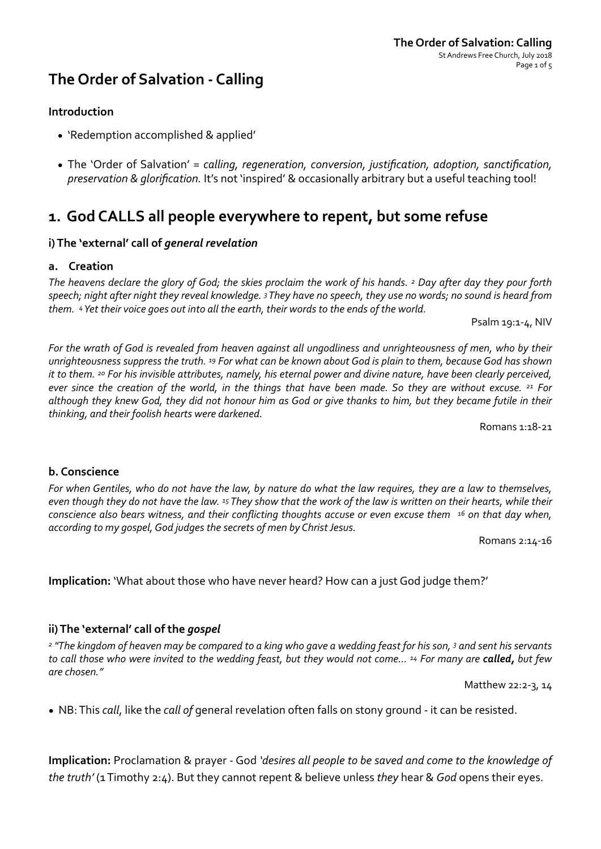## **The Order of Salvation - Calling**

### **Introduction**

- 'Redemption accomplished & applied'
- The 'Order of Salvation' = calling, regeneration, conversion, justification, adoption, sanctification, *preservation & glorification.* It's not 'inspired' & occasionally arbitrary but a useful teaching tool!

## 1. God CALLS all people everywhere to repent, but some refuse

### i) The 'external' call of *general revelation*

#### **a. Creation**

The heavens declare the glory of God; the skies proclaim the work of his hands. <sup>2</sup> Day after day they pour forth speech; night after night they reveal knowledge. 3 They have no speech, they use no words; no sound is heard from *them.* 4 Yet their voice goes out into all the earth, their words to the ends of the world.

Psalm  $19:1-4$ , NIV

For the wrath of God is revealed from heaven against all ungodliness and unrighteousness of men, who by their unrighteousness suppress the truth. <sup>19</sup> For what can be known about God is plain to them, because God has shown *it* to them. <sup>20</sup> For his invisible attributes, namely, his eternal power and divine nature, have been clearly perceived, *ever since the creation of the world, in the things that have been made.* So they are without excuse. <sup>21</sup> For although they knew God, they did not honour him as God or give thanks to him, but they became futile in their thinking, and their foolish hearts were darkened.

Romans 1:18-21 

### **b. Conscience**

*For* when Gentiles, who do not have the law, by nature do what the law requires, they are a law to themselves, even though they do not have the law. <sup>15</sup> They show that the work of the law is written on their hearts, while their *conscience also bears witness, and their conflicting thoughts accuse or even excuse them* <sup>16</sup> on that day when, according to my gospel, God judges the secrets of men by Christ Jesus.

Romans 2:14-16 

**Implication:** 'What about those who have never heard? How can a just God judge them?'

### ii) The 'external' call of the *gospel*

<sup>2</sup> "The kingdom of heaven may be compared to a king who gave a wedding feast for his son, 3 and sent his servants to call those who were invited to the wedding feast, but they would not come... <sup>14</sup> For many are **called,** but few *are chosen."* 

Matthew 22:2-3, 14

• NB: This *call*, like the *call of* general revelation often falls on stony ground - it can be resisted.

**Implication:** Proclamation & prayer - God 'desires all people to be saved and come to the knowledge of *the truth'* (1 Timothy 2:4). But they cannot repent & believe unless *they* hear & *God* opens their eyes.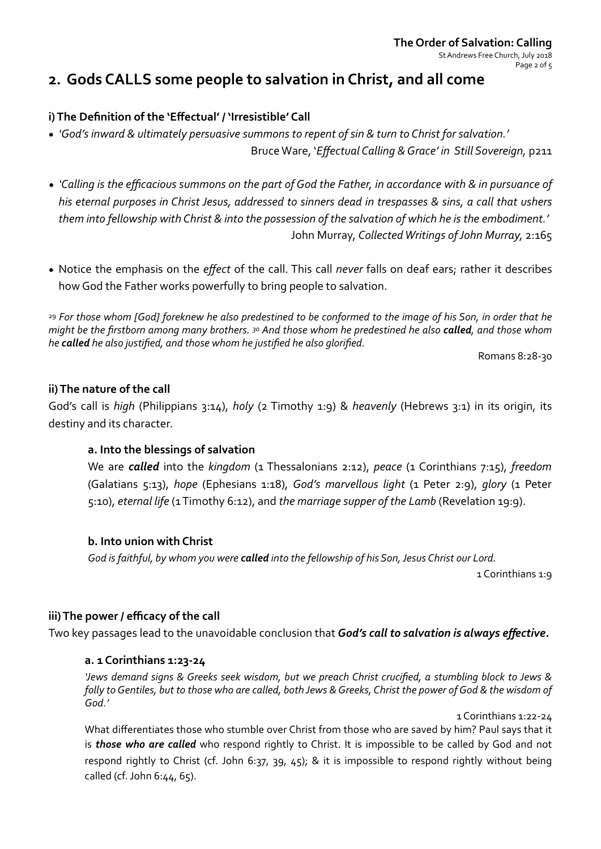#### **The Order of Salvation: Calling** St Andrews Free Church, July 2018 Page 2 of 5

## **2.** Gods CALLS some people to salvation in Christ, and all come

## i) The Definition of the 'Effectual' / 'Irresistible' Call

- *'God's* inward & ultimately persuasive summons to repent of sin & turn to Christ for salvation.' Bruce Ware, '*Effectual Calling & Grace' in Still Sovereign*, p211
- *'Calling* is the efficacious summons on the part of God the Father, in accordance with & in pursuance of *his* eternal purposes in Christ Jesus, addressed to sinners dead in trespasses & sins, a call that ushers them into fellowship with Christ & into the possession of the salvation of which he is the embodiment.' John Murray, *Collected Writings of John Murray*, 2:165
- Notice the emphasis on the *effect* of the call. This call *never* falls on deaf ears; rather it describes how God the Father works powerfully to bring people to salvation.

<sup>29</sup> For those whom [God] foreknew he also predestined to be conformed to the image of his Son, in order that he *might be the firstborn among many brothers.*  $30$  And those whom he predestined he also **called**, and those whom *he* called he also justified, and those whom he justified he also glorified.

Romans 8:28-30 

### **ii)** The nature of the call

God's call is *high* (Philippians 3:14), *holy* (2 Timothy 1:9) & *heavenly* (Hebrews 3:1) in its origin, its destiny and its character.

## a. Into the blessings of salvation

We are **called** into the kingdom (1 Thessalonians 2:12), peace (1 Corinthians 7:15), freedom (Galatians 5:13), *hope*  (Ephesians 1:18), *God's marvellous light*  (1 Peter 2:9), *glory*  (1 Peter 5:10), *eternal life* (1 Timothy 6:12), and *the marriage supper of the Lamb* (Revelation 19:9).

## **b.** Into union with Christ

God is faithful, by whom you were **called** into the fellowship of his Son, Jesus Christ our Lord.

1 Corinthians 1:9

## iii) The power / efficacy of the call

Two key passages lead to the unavoidable conclusion that **God's call to salvation is always effective.** 

### **a. 1 Corinthians 1:23-24**

'Jews demand signs & Greeks seek wisdom, but we preach Christ crucified, a stumbling block to Jews & *folly* to Gentiles, but to those who are called, both Jews & Greeks, Christ the power of God & the wisdom of *God.'* 

#### 1 Corinthians 1:22-24

What differentiates those who stumble over Christ from those who are saved by him? Paul says that it is *those who are called* who respond rightly to Christ. It is impossible to be called by God and not respond rightly to Christ (cf. John 6:37, 39, 45); & it is impossible to respond rightly without being called (cf. John  $6:44, 65$ ).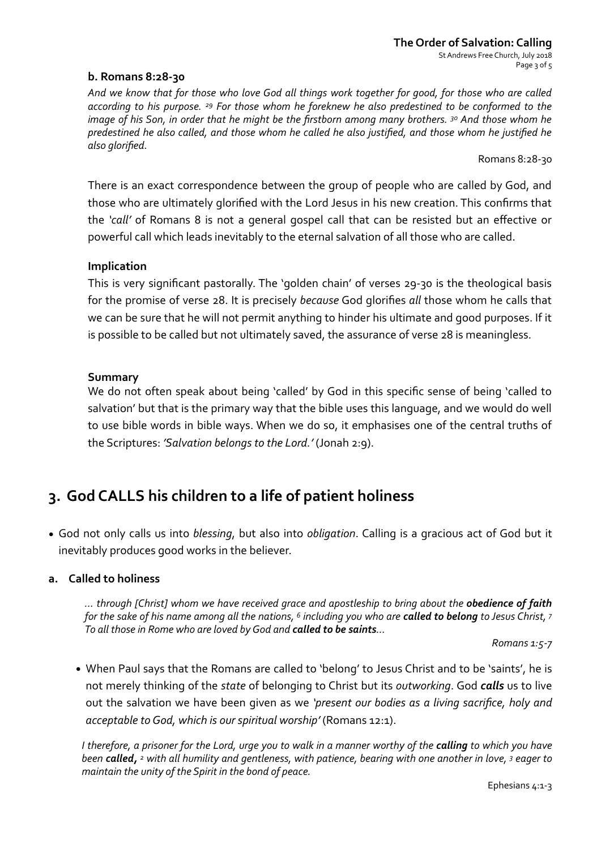### **b. Romans 8:28-30**

And we know that for those who love God all things work together for good, for those who are called according to his purpose. <sup>29</sup> For those whom he foreknew he also predestined to be conformed to the *image* of his Son, in order that he might be the firstborn among many brothers. <sup>30</sup> And those whom he *predestined he also called, and those whom he called he also justified, and those whom he justified he also glorified.* 

Romans 8:28-30 

There is an exact correspondence between the group of people who are called by God, and those who are ultimately glorified with the Lord Jesus in his new creation. This confirms that the *'call'* of Romans 8 is not a general gospel call that can be resisted but an effective or powerful call which leads inevitably to the eternal salvation of all those who are called.

#### **Implication**

This is very significant pastorally. The 'golden chain' of verses 29-30 is the theological basis for the promise of verse 28. It is precisely *because* God glorifies *all* those whom he calls that we can be sure that he will not permit anything to hinder his ultimate and good purposes. If it is possible to be called but not ultimately saved, the assurance of verse 28 is meaningless.

#### **Summary**

We do not often speak about being 'called' by God in this specific sense of being 'called to salvation' but that is the primary way that the bible uses this language, and we would do well to use bible words in bible ways. When we do so, it emphasises one of the central truths of the Scriptures: 'Salvation belongs to the Lord.' (Jonah 2:9).

## **3.** God CALLS his children to a life of patient holiness

• God not only calls us into *blessing*, but also into *obligation*. Calling is a gracious act of God but it inevitably produces good works in the believer.

#### **a.** Called to holiness

*… through [Christ] whom we have received grace and apostleship to bring about the obedience of faith for the sake of his name among all the nations,* <sup>6</sup> including you who are **called to belong** to Jesus Christ, 7 *To all those in Rome who are loved by God and called to be saints...* 

*Romans 1:5-7* 

• When Paul says that the Romans are called to 'belong' to Jesus Christ and to be 'saints', he is not merely thinking of the *state* of belonging to Christ but its *outworking*. God *calls* us to live out the salvation we have been given as we 'present our bodies as a living sacrifice, holy and *acceptable to God, which is our spiritual worship'* (Romans 12:1).

*I* therefore, a prisoner for the Lord, urge you to walk in a manner worthy of the **calling** to which you have *been* **called**, <sup>2</sup> with all humility and gentleness, with patience, bearing with one another in love, <sup>3</sup> eager to *maintain the unity of the Spirit in the bond of peace.*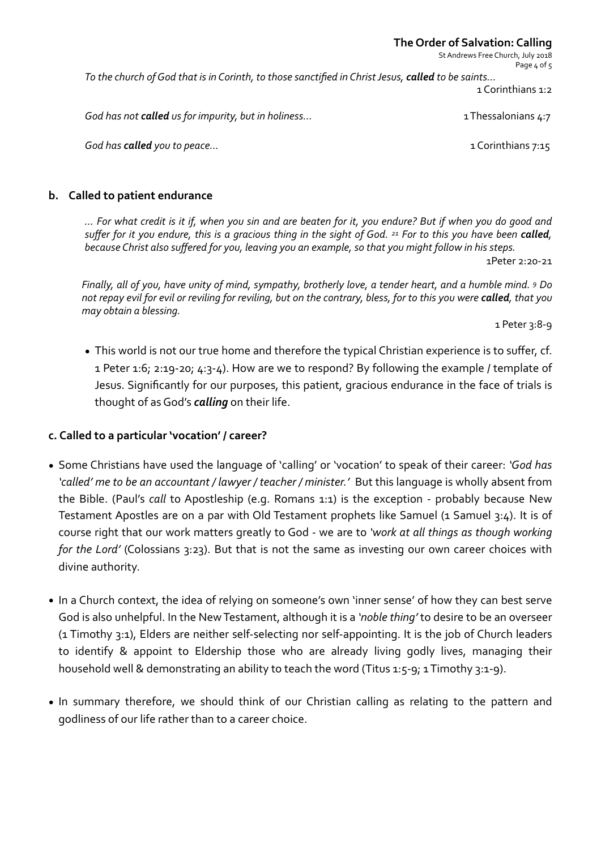#### **The Order of Salvation: Calling**

St Andrews Free Church, July 2018 Page 4 of 5

*To* the church of God that is in Corinth, to those sanctified in Christ Jesus, called to be saints... 1 Corinthians 1:2

*God has not called us for impurity, but in holiness…* 1 Thessalonians 4:7

 *God has called you to peace…* 1 Corinthians 7:15

#### **b.** Called to patient endurance

*… For what credit is it if, when you sin and are beaten for it, you endure? But if when you do good and suffer for it you endure, this is a gracious thing in the sight of God.* <sup>21</sup> For to this you have been called, *because Christ also suffered for you, leaving you an example, so that you might follow in his steps.* 

1Peter 2:20-21 

*Finally, all of you, have unity of mind, sympathy, brotherly love, a tender heart, and a humble mind.* 9 Do not repay evil for evil or reviling for reviling, but on the contrary, bless, for to this you were **called**, that you *may obtain a blessing.* 

1 Peter 3:8-9

• This world is not our true home and therefore the typical Christian experience is to suffer, cf. 1 Peter 1:6; 2:19-20; 4:3-4). How are we to respond? By following the example / template of Jesus. Significantly for our purposes, this patient, gracious endurance in the face of trials is thought of as God's **calling** on their life.

### **c. Called to a particular 'vocation' / career?**

- Some Christians have used the language of 'calling' or 'vocation' to speak of their career: 'God has 'called' me to be an accountant / lawyer / teacher / minister.' But this language is wholly absent from the Bible. (Paul's *call* to Apostleship (e.g. Romans 1:1) is the exception - probably because New Testament Apostles are on a par with Old Testament prophets like Samuel (1 Samuel 3:4). It is of course right that our work matters greatly to God - we are to 'work at all things as though working *for* the Lord' (Colossians 3:23). But that is not the same as investing our own career choices with divine authority.
- In a Church context, the idea of relying on someone's own 'inner sense' of how they can best serve God is also unhelpful. In the New Testament, although it is a 'noble thing' to desire to be an overseer (1 Timothy 3:1), Elders are neither self-selecting nor self-appointing. It is the job of Church leaders to identify & appoint to Eldership those who are already living godly lives, managing their household well & demonstrating an ability to teach the word (Titus 1:5-9; 1 Timothy 3:1-9).
- In summary therefore, we should think of our Christian calling as relating to the pattern and godliness of our life rather than to a career choice.